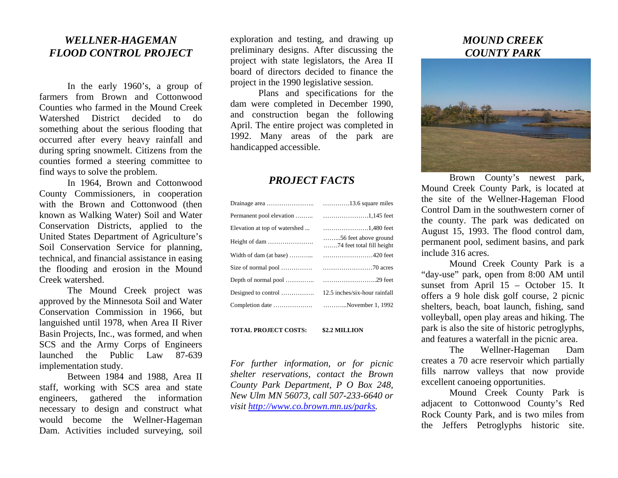## *WELLNER-HAGEMAN FLOOD CONTROL PROJECT*

In the early 1960's, a group of farmers from Brown and Cottonwood Counties who farmed in the Mound Creek Watershed District decided to do som ething about the serious flooding that occurred after every heavy rainfall and during spring snowm elt. Citizens from thecounties formed a steering committee to find ways to solve the problem.

In 1964, Brown and Cottonwood County Commissioners, in cooperation with the Brown and Cottonwood (then known as Walking Water) Soil and W ater Conservation Districts, applied to the United States Departm ent of Agriculture's Soil Conservation Service for planning, technical, and financial assistance in easing the flooding and erosion in the Mound Creek watershed.

The Mound Creek project was approved by the Minnesota Soil and W ater Conservation Commission in 1966, but languished until 1978, when Area II River Basin Projects, Inc., was for med, and when SCS and t he Ar m y Corps of Engineers launched the Public Law 87-639 imple mentation study.

Between 1984 and 1988, Area II staff, working with SCS area and state engineers, gathered the information necessary to design and construct what would becom e the Wellner-Hageman Dam. Activities included surveying, soil

exploration and testing, and drawing up preliminary designs. After discussing the project with state legislators, the Area II board of directors decided to finance the project in the 1990 legislative session.

Plans and specifications for the dam were com pleted in Dece mber 1990, and construction began the following April. The entire project was com pleted in 1992. Many areas of the park are handicapped accessible.

## *PROJECT FACTS*

| Elevation at top of watershed | 1,480 feet                                                 |
|-------------------------------|------------------------------------------------------------|
| Height of dam                 | $\ldots$ 56 feet above ground<br>74 feet total fill height |
|                               |                                                            |
|                               |                                                            |
|                               |                                                            |
| Designed to control           | 12.5 inches/six-hour rainfall                              |
|                               |                                                            |

**TOTAL PROJECT COSTS: \$2.2 MILLION** 

*For further information, or for picnic shelter reservations, contact the Brown County Park Department, P O Box 248, New Ulm MN 56073, call 507-233-6640 or visit http://www.co.brown.mn.us/parks.* 

## *MOUND CREEK COUNTY PARK*



Brown County's newest park, Mound Creek County Park, is located at the site of the Wellner-Hageman Flood Control Dam in the southwestern corner of the county. The park was dedicated on August 15, 1993. The flood control dam, permanent pool, sedim ent basins, and park include 316 acres.

Mound Creek County Park is a "day-use" park, open from 8:00 AM until sunset from April 15 – October 15. It offers a 9 hole disk golf course, 2 picnic shelters, beach, boat launch, fishing, sand volleyball, open play areas and hiking. The park is also the site of historic petroglyphs, and features a waterfall in the picnic area.

The Wellner-Hageman Dam creates a 70 acre reservoir which p artially fills narro w valleys that now provide excellent canoeing opportunities.

Mound Creek County Park is adjacent to Cottonwood County's Red Rock County Park, and is two miles from the Jeffers Petroglyphs historic site.